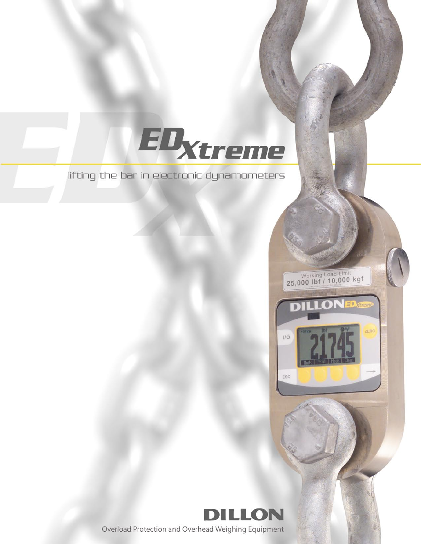lifting the bar in electronic dynamometers

EDxtreme



Working Load Limit<br>25,000 lbf / 10,000 kgf

D

 $110$ 

ESC

**LONED** 

Overload Protection and Overhead Weighing Equipment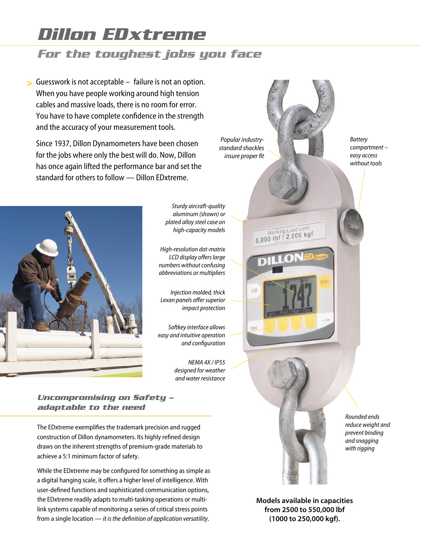# *Dillon EDxtreme*

# *For the toughest jobs you face*

Guesswork is not acceptable – failure is not an option. > When you have people working around high tension cables and massive loads, there is no room for error. You have to have complete confidence in the strength and the accuracy of your measurement tools.

Since 1937, Dillon Dynamometers have been chosen for the jobs where only the best will do. Now, Dillon has once again lifted the performance bar and set the standard for others to follow — Dillon EDxtreme.



Sturdy aircraft-quality aluminum (shown) or plated alloy steel case on high-capacity models

High-resolution dot-matrix LCD display offers large numbers without confusing abbreviations or multipliers

Injection molded, thick Lexan panels offer superior impact protection

Softkey interface allows easy and intuitive operation and configuration

> NEMA 4X / IP55 designed for weather and water resistance

*Uncompromising on Safety – adaptable to the need*

The EDxtreme exemplifies the trademark precision and rugged construction of Dillon dynamometers. Its highly refined design draws on the inherent strengths of premium-grade materials to achieve a 5:1 minimum factor of safety.

While the EDxtreme may be configured for something as simple as a digital hanging scale, it offers a higher level of intelligence. With user-defined functions and sophisticated communication options, the EDxtreme readily adapts to multi-tasking operations or multilink systems capable of monitoring a series of critical stress points from a single location — it is the definition of application versatility.



Models available in capacities from 2500 to 550,000 lbf (1000 to 250,000 kgf).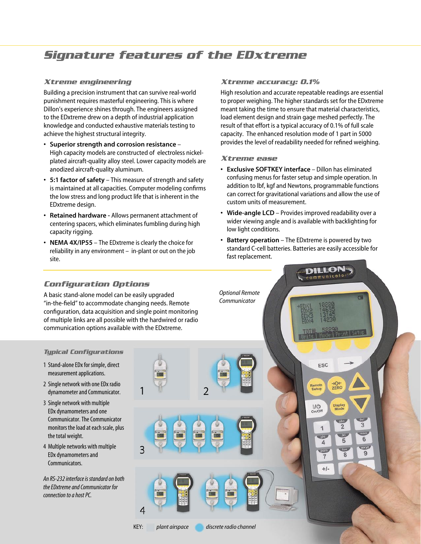### *Signature features of the EDxtreme*

### *Xtreme engineering*

Building a precision instrument that can survive real-world punishment requires masterful engineering. This is where Dillon's experience shines through. The engineers assigned to the EDxtreme drew on a depth of industrial application knowledge and conducted exhaustive materials testing to achieve the highest structural integrity.

- Superior strength and corrosion resistance High capacity models are constructed of electroless nickelplated aircraft-quality alloy steel. Lower capacity models are anodized aircraft-quality aluminum.
- 5:1 factor of safety This measure of strength and safety is maintained at all capacities. Computer modeling confirms the low stress and long product life that is inherent in the EDxtreme design.
- Retained hardware Allows permanent attachment of centering spacers, which eliminates fumbling during high capacity rigging.
- NEMA 4X/IP55 The EDxtreme is clearly the choice for reliability in any environment – in-plant or out on the job site.

### *Xtreme accuracy: 0.1%*

High resolution and accurate repeatable readings are essential to proper weighing. The higher standards set for the EDxtreme meant taking the time to ensure that material characteristics, load element design and strain gage meshed perfectly. The result of that effort is a typical accuracy of 0.1% of full scale capacity. The enhanced resolution mode of 1 part in 5000 provides the level of readability needed for refined weighing.

### *Xtreme ease*

- Exclusive SOFTKEY interface Dillon has eliminated confusing menus for faster setup and simple operation. In addition to lbf, kgf and Newtons, programmable functions can correct for gravitational variations and allow the use of custom units of measurement.
- Wide-angle LCD Provides improved readability over a wider viewing angle and is available with backlighting for low light conditions.
- Battery operation The EDxtreme is powered by two standard C-cell batteries. Batteries are easily accessible for fast replacement.